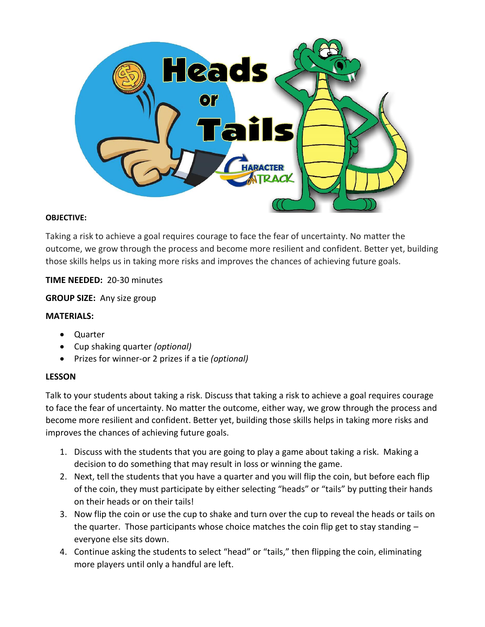

#### **OBJECTIVE:**

Taking a risk to achieve a goal requires courage to face the fear of uncertainty. No matter the outcome, we grow through the process and become more resilient and confident. Better yet, building those skills helps us in taking more risks and improves the chances of achieving future goals.

### **TIME NEEDED:** 20-30 minutes

**GROUP SIZE:** Any size group

#### **MATERIALS:**

- Quarter
- Cup shaking quarter *(optional)*
- Prizes for winner-or 2 prizes if a tie *(optional)*

#### **LESSON**

Talk to your students about taking a risk. Discuss that taking a risk to achieve a goal requires courage to face the fear of uncertainty. No matter the outcome, either way, we grow through the process and become more resilient and confident. Better yet, building those skills helps in taking more risks and improves the chances of achieving future goals.

- 1. Discuss with the students that you are going to play a game about taking a risk. Making a decision to do something that may result in loss or winning the game.
- 2. Next, tell the students that you have a quarter and you will flip the coin, but before each flip of the coin, they must participate by either selecting "heads" or "tails" by putting their hands on their heads or on their tails!
- 3. Now flip the coin or use the cup to shake and turn over the cup to reveal the heads or tails on the quarter. Those participants whose choice matches the coin flip get to stay standing  $$ everyone else sits down.
- 4. Continue asking the students to select "head" or "tails," then flipping the coin, eliminating more players until only a handful are left.